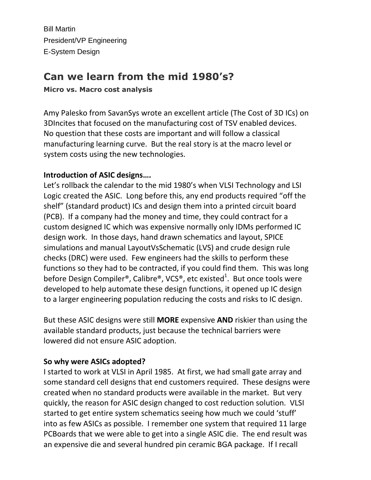Bill Martin President/VP Engineering E-System Design

# **Can we learn from the mid 1980's?**

**Micro vs. Macro cost analysis** 

Amy Palesko from SavanSys wrote an excellent article (The Cost of 3D ICs) on 3DIncites that focused on the manufacturing cost of TSV enabled devices. No question that these costs are important and will follow a classical manufacturing learning curve. But the real story is at the macro level or system costs using the new technologies.

## **Introduction of ASIC designs….**

Let's rollback the calendar to the mid 1980's when VLSI Technology and LSI Logic created the ASIC. Long before this, any end products required "off the shelf" (standard product) ICs and design them into a printed circuit board (PCB). If a company had the money and time, they could contract for a custom designed IC which was expensive normally only IDMs performed IC design work. In those days, hand drawn schematics and layout, SPICE simulations and manual LayoutVsSchematic (LVS) and crude design rule checks (DRC) were used. Few engineers had the skills to perform these functions so they had to be contracted, if you could find them. This was long before Design Compiler®, Calibre®, VCS®, etc existed<sup>1</sup>. But once tools were developed to help automate these design functions, it opened up IC design to a larger engineering population reducing the costs and risks to IC design.

But these ASIC designs were still **MORE** expensive **AND** riskier than using the available standard products, just because the technical barriers were lowered did not ensure ASIC adoption.

## **So why were ASICs adopted?**

I started to work at VLSI in April 1985. At first, we had small gate array and some standard cell designs that end customers required. These designs were created when no standard products were available in the market. But very quickly, the reason for ASIC design changed to cost reduction solution. VLSI started to get entire system schematics seeing how much we could 'stuff' into as few ASICs as possible. I remember one system that required 11 large PCBoards that we were able to get into a single ASIC die. The end result was an expensive die and several hundred pin ceramic BGA package. If I recall